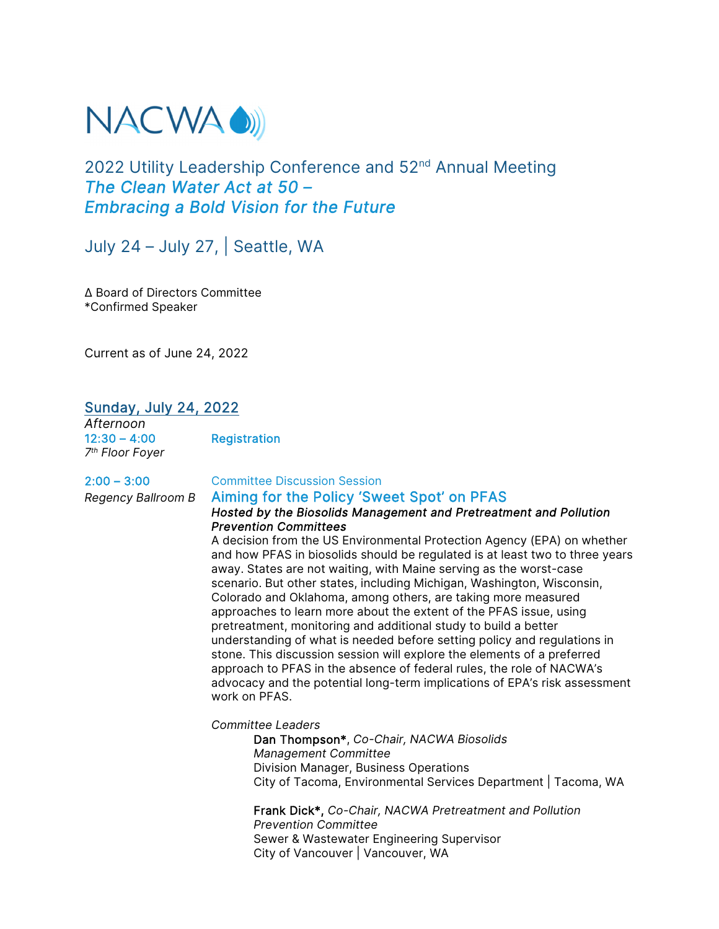

# 2022 Utility Leadership Conference and 52<sup>nd</sup> Annual Meeting *The Clean Water Act at 50 – Embracing a Bold Vision for the Future*

July 24 – July 27, | Seattle, WA

Δ Board of Directors Committee \*Confirmed Speaker

Current as of June 24, 2022

# Sunday, July 24, 2022

*Afternoon* **Registration** *7th Floor Foyer* 

# 2:00 – 3:00 Committee Discussion Session

#### *Regency Ballroom B* Aiming for the Policy 'Sweet Spot' on PFAS *Hosted by the Biosolids Management and Pretreatment and Pollution Prevention Committees*

A decision from the US Environmental Protection Agency (EPA) on whether and how PFAS in biosolids should be regulated is at least two to three years away. States are not waiting, with Maine serving as the worst-case scenario. But other states, including Michigan, Washington, Wisconsin, Colorado and Oklahoma, among others, are taking more measured approaches to learn more about the extent of the PFAS issue, using pretreatment, monitoring and additional study to build a better understanding of what is needed before setting policy and regulations in stone. This discussion session will explore the elements of a preferred approach to PFAS in the absence of federal rules, the role of NACWA's advocacy and the potential long-term implications of EPA's risk assessment work on PFAS.

*Committee Leaders* 

Dan Thompson\*, *Co-Chair, NACWA Biosolids Management Committee*  Division Manager, Business Operations City of Tacoma, Environmental Services Department | Tacoma, WA

Frank Dick\*, *Co-Chair, NACWA Pretreatment and Pollution Prevention Committee* Sewer & Wastewater Engineering Supervisor City of Vancouver | Vancouver, WA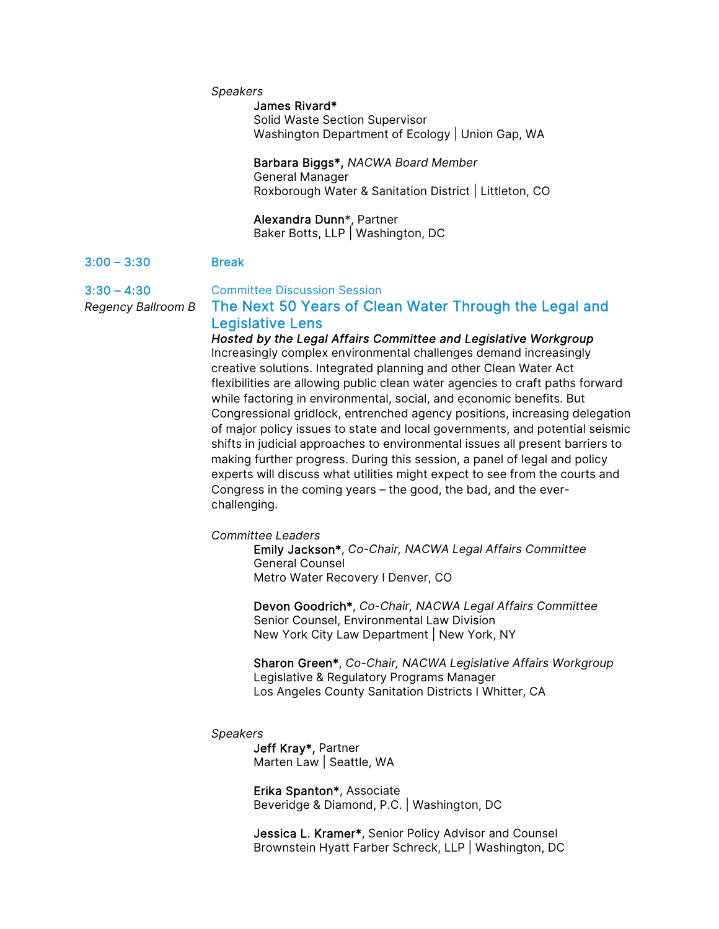#### *Speakers*

# James Rivard\*

Solid Waste Section Supervisor Washington Department of Ecology | Union Gap, WA

### Barbara Biggs\*, *NACWA Board Member* General Manager Roxborough Water & Sanitation District | Littleton, CO

#### Alexandra Dunn\*, Partner

Baker Botts, LLP | Washington, DC

#### 3:00 – 3:30 Break

3:30 – 4:30 Committee Discussion Session

# *Regency Ballroom B* The Next 50 Years of Clean Water Through the Legal and Legislative Lens

*Hosted by the Legal Affairs Committee and Legislative Workgroup*  Increasingly complex environmental challenges demand increasingly creative solutions. Integrated planning and other Clean Water Act flexibilities are allowing public clean water agencies to craft paths forward while factoring in environmental, social, and economic benefits. But Congressional gridlock, entrenched agency positions, increasing delegation of major policy issues to state and local governments, and potential seismic shifts in judicial approaches to environmental issues all present barriers to making further progress. During this session, a panel of legal and policy experts will discuss what utilities might expect to see from the courts and Congress in the coming years – the good, the bad, and the everchallenging.

*Committee Leaders* 

Emily Jackson\*, *Co-Chair, NACWA Legal Affairs Committee*  General Counsel Metro Water Recovery I Denver, CO

Devon Goodrich\*, *Co-Chair, NACWA Legal Affairs Committee*  Senior Counsel, Environmental Law Division New York City Law Department | New York, NY

Sharon Green\*, *Co-Chair, NACWA Legislative Affairs Workgroup*  Legislative & Regulatory Programs Manager Los Angeles County Sanitation Districts I Whitter, CA

#### *Speakers*

Jeff Kray\*, Partner Marten Law | Seattle, WA

Erika Spanton\*, Associate Beveridge & Diamond, P.C. | Washington, DC

Jessica L. Kramer\*, Senior Policy Advisor and Counsel Brownstein Hyatt Farber Schreck, LLP | Washington, DC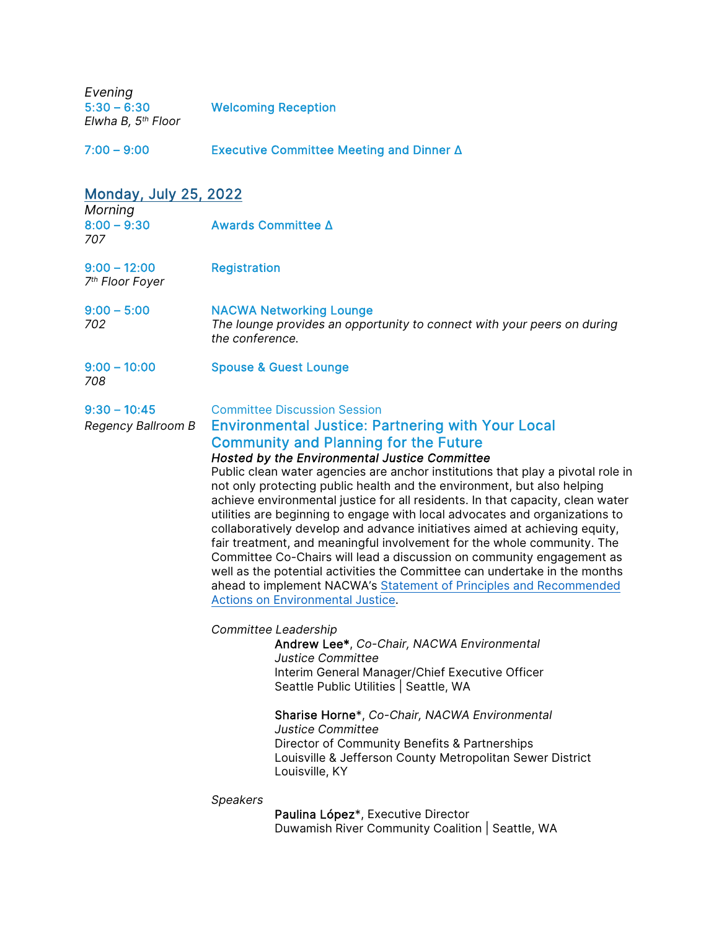| Evening<br>$5:30 - 6:30$<br>Elwha B, 5 <sup>th</sup> Floor |                     | <b>Welcoming Reception</b>                                                                                                                                                                                                                                                                                                                                                                                                                                                                                                                                                                                                                                                                                                                                                                                                                                                                                                                                                                                                                                                                                                                                                                                                                                                                                                                                                    |  |  |
|------------------------------------------------------------|---------------------|-------------------------------------------------------------------------------------------------------------------------------------------------------------------------------------------------------------------------------------------------------------------------------------------------------------------------------------------------------------------------------------------------------------------------------------------------------------------------------------------------------------------------------------------------------------------------------------------------------------------------------------------------------------------------------------------------------------------------------------------------------------------------------------------------------------------------------------------------------------------------------------------------------------------------------------------------------------------------------------------------------------------------------------------------------------------------------------------------------------------------------------------------------------------------------------------------------------------------------------------------------------------------------------------------------------------------------------------------------------------------------|--|--|
| $7:00 - 9:00$                                              |                     | Executive Committee Meeting and Dinner Δ                                                                                                                                                                                                                                                                                                                                                                                                                                                                                                                                                                                                                                                                                                                                                                                                                                                                                                                                                                                                                                                                                                                                                                                                                                                                                                                                      |  |  |
| <b>Monday, July 25, 2022</b>                               |                     |                                                                                                                                                                                                                                                                                                                                                                                                                                                                                                                                                                                                                                                                                                                                                                                                                                                                                                                                                                                                                                                                                                                                                                                                                                                                                                                                                                               |  |  |
| Morning<br>$8:00 - 9:30$<br>707                            | Awards Committee ∆  |                                                                                                                                                                                                                                                                                                                                                                                                                                                                                                                                                                                                                                                                                                                                                                                                                                                                                                                                                                                                                                                                                                                                                                                                                                                                                                                                                                               |  |  |
| $9:00 - 12:00$<br>7 <sup>th</sup> Floor Foyer              | <b>Registration</b> |                                                                                                                                                                                                                                                                                                                                                                                                                                                                                                                                                                                                                                                                                                                                                                                                                                                                                                                                                                                                                                                                                                                                                                                                                                                                                                                                                                               |  |  |
| $9:00 - 5:00$<br>702                                       | the conference.     | <b>NACWA Networking Lounge</b><br>The lounge provides an opportunity to connect with your peers on during                                                                                                                                                                                                                                                                                                                                                                                                                                                                                                                                                                                                                                                                                                                                                                                                                                                                                                                                                                                                                                                                                                                                                                                                                                                                     |  |  |
| $9:00 - 10:00$<br>708                                      |                     | <b>Spouse &amp; Guest Lounge</b>                                                                                                                                                                                                                                                                                                                                                                                                                                                                                                                                                                                                                                                                                                                                                                                                                                                                                                                                                                                                                                                                                                                                                                                                                                                                                                                                              |  |  |
| $9:30 - 10:45$<br>Regency Ballroom B                       |                     | <b>Committee Discussion Session</b><br><b>Environmental Justice: Partnering with Your Local</b><br><b>Community and Planning for the Future</b><br>Hosted by the Environmental Justice Committee<br>Public clean water agencies are anchor institutions that play a pivotal role in<br>not only protecting public health and the environment, but also helping<br>achieve environmental justice for all residents. In that capacity, clean water<br>utilities are beginning to engage with local advocates and organizations to<br>collaboratively develop and advance initiatives aimed at achieving equity,<br>fair treatment, and meaningful involvement for the whole community. The<br>Committee Co-Chairs will lead a discussion on community engagement as<br>well as the potential activities the Committee can undertake in the months<br>ahead to implement NACWA's Statement of Principles and Recommended<br><b>Actions on Environmental Justice.</b><br>Committee Leadership<br>Andrew Lee*, Co-Chair, NACWA Environmental<br><b>Justice Committee</b><br>Interim General Manager/Chief Executive Officer<br>Seattle Public Utilities   Seattle, WA<br>Sharise Horne*, Co-Chair, NACWA Environmental<br><b>Justice Committee</b><br>Director of Community Benefits & Partnerships<br>Louisville & Jefferson County Metropolitan Sewer District<br>Louisville, KY |  |  |
|                                                            | Speakers            | Paulina López*, Executive Director<br>Duwamish River Community Coalition   Seattle, WA                                                                                                                                                                                                                                                                                                                                                                                                                                                                                                                                                                                                                                                                                                                                                                                                                                                                                                                                                                                                                                                                                                                                                                                                                                                                                        |  |  |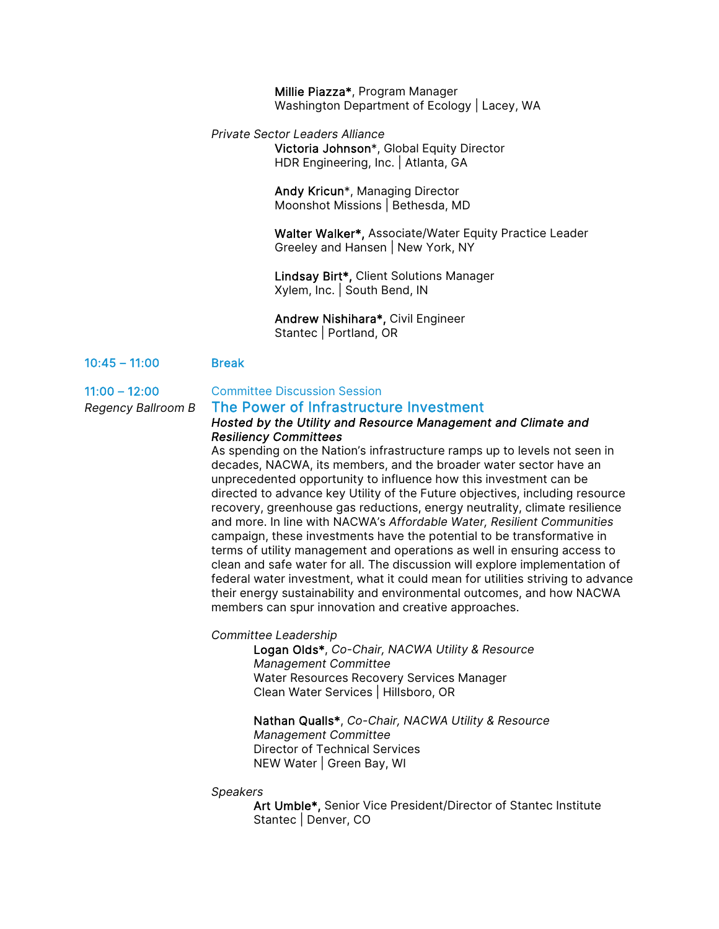Millie Piazza\*, Program Manager Washington Department of Ecology | Lacey, WA

*Private Sector Leaders Alliance*  Victoria Johnson\*, Global Equity Director HDR Engineering, Inc. | Atlanta, GA

> Andy Kricun\*, Managing Director Moonshot Missions | Bethesda, MD

Walter Walker\*, Associate/Water Equity Practice Leader Greeley and Hansen | New York, NY

Lindsay Birt\*, Client Solutions Manager Xylem, Inc. | South Bend, IN

Andrew Nishihara\*, Civil Engineer Stantec | Portland, OR

#### 10:45 – 11:00 Break

# 11:00 – 12:00 Committee Discussion Session

# *Regency Ballroom B* The Power of Infrastructure Investment

### *Hosted by the Utility and Resource Management and Climate and Resiliency Committees*

As spending on the Nation's infrastructure ramps up to levels not seen in decades, NACWA, its members, and the broader water sector have an unprecedented opportunity to influence how this investment can be directed to advance key Utility of the Future objectives, including resource recovery, greenhouse gas reductions, energy neutrality, climate resilience and more. In line with NACWA's *Affordable Water, Resilient Communities* campaign, these investments have the potential to be transformative in terms of utility management and operations as well in ensuring access to clean and safe water for all. The discussion will explore implementation of federal water investment, what it could mean for utilities striving to advance their energy sustainability and environmental outcomes, and how NACWA members can spur innovation and creative approaches.

*Committee Leadership* 

 Logan Olds\*, *Co-Chair, NACWA Utility & Resource Management Committee*  Water Resources Recovery Services Manager Clean Water Services | Hillsboro, OR

#### Nathan Qualls\*, *Co-Chair, NACWA Utility & Resource Management Committee*  Director of Technical Services NEW Water | Green Bay, WI

#### *Speakers*

Art Umble\*, Senior Vice President/Director of Stantec Institute Stantec | Denver, CO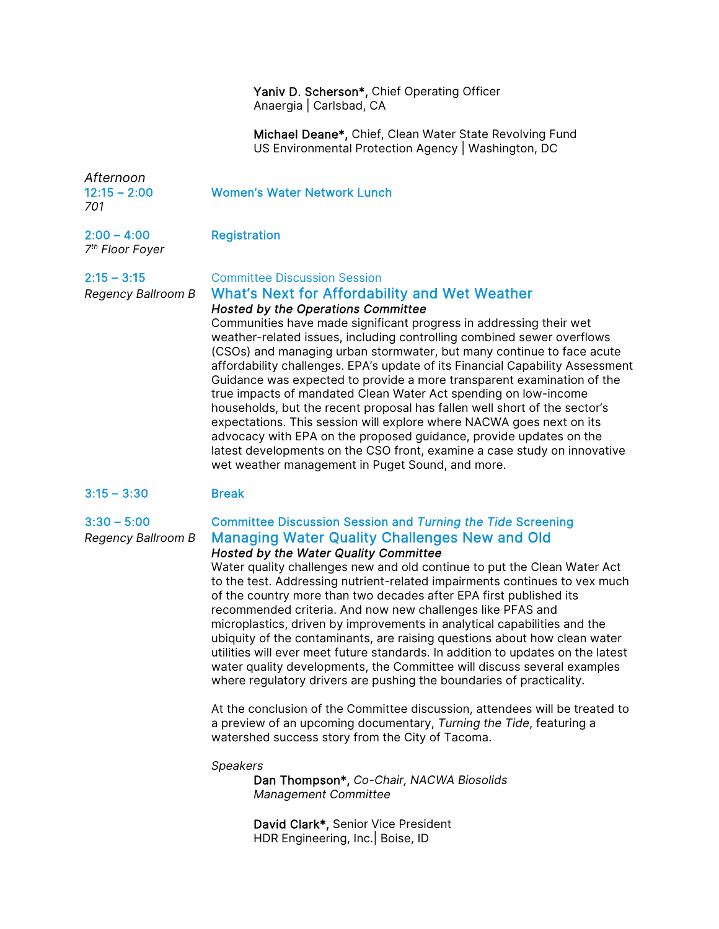### Yaniv D. Scherson\*, Chief Operating Officer Anaergia | Carlsbad, CA

Michael Deane\*, Chief, Clean Water State Revolving Fund US Environmental Protection Agency | Washington, DC

*Afternoon 701*

## 12:15 – 2:00 Women's Water Network Lunch

2:00 – 4:00 Registration

*7th Floor Foyer* 

2:15 – 3:15 Committee Discussion Session

## *Regency Ballroom B* What's Next for Affordability and Wet Weather *Hosted by the Operations Committee*

Communities have made significant progress in addressing their wet weather-related issues, including controlling combined sewer overflows (CSOs) and managing urban stormwater, but many continue to face acute affordability challenges. EPA's update of its Financial Capability Assessment Guidance was expected to provide a more transparent examination of the true impacts of mandated Clean Water Act spending on low-income households, but the recent proposal has fallen well short of the sector's expectations. This session will explore where NACWA goes next on its advocacy with EPA on the proposed guidance, provide updates on the latest developments on the CSO front, examine a case study on innovative wet weather management in Puget Sound, and more.

# 3:15 – 3:30 Break

## 3:30 – 5:00 Committee Discussion Session and *Turning the Tide* Screening *Regency Ballroom B* Managing Water Quality Challenges New and Old *Hosted by the Water Quality Committee*

Water quality challenges new and old continue to put the Clean Water Act to the test. Addressing nutrient-related impairments continues to vex much of the country more than two decades after EPA first published its recommended criteria. And now new challenges like PFAS and microplastics, driven by improvements in analytical capabilities and the ubiquity of the contaminants, are raising questions about how clean water utilities will ever meet future standards. In addition to updates on the latest water quality developments, the Committee will discuss several examples where regulatory drivers are pushing the boundaries of practicality.

At the conclusion of the Committee discussion, attendees will be treated to a preview of an upcoming documentary, *Turning the Tide*, featuring a watershed success story from the City of Tacoma.

## *Speakers*

Dan Thompson\*, *Co-Chair, NACWA Biosolids Management Committee* 

David Clark\*, Senior Vice President HDR Engineering, Inc.| Boise, ID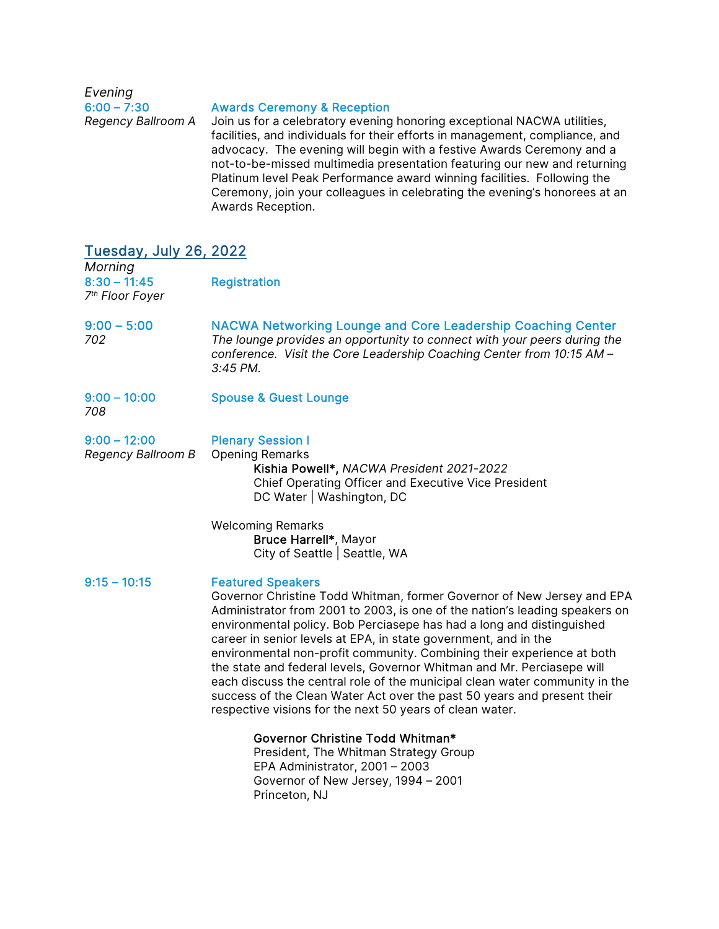*Evening* 

#### Awards Ceremony & Reception

*Regency Ballroom A* Join us for a celebratory evening honoring exceptional NACWA utilities, facilities, and individuals for their efforts in management, compliance, and advocacy. The evening will begin with a festive Awards Ceremony and a not-to-be-missed multimedia presentation featuring our new and returning Platinum level Peak Performance award winning facilities. Following the Ceremony, join your colleagues in celebrating the evening's honorees at an Awards Reception.

| <b>Tuesday, July 26, 2022</b>                            |                                                                                                                                                                                                                                                                                                                                                                                                                                                                                                                                                                                                                                                                                                         |
|----------------------------------------------------------|---------------------------------------------------------------------------------------------------------------------------------------------------------------------------------------------------------------------------------------------------------------------------------------------------------------------------------------------------------------------------------------------------------------------------------------------------------------------------------------------------------------------------------------------------------------------------------------------------------------------------------------------------------------------------------------------------------|
| Morning<br>$8:30 - 11:45$<br>7 <sup>th</sup> Floor Foyer | <b>Registration</b>                                                                                                                                                                                                                                                                                                                                                                                                                                                                                                                                                                                                                                                                                     |
| $9:00 - 5:00$<br>702                                     | <b>NACWA Networking Lounge and Core Leadership Coaching Center</b><br>The lounge provides an opportunity to connect with your peers during the<br>conference. Visit the Core Leadership Coaching Center from 10:15 AM -<br>3:45 PM.                                                                                                                                                                                                                                                                                                                                                                                                                                                                     |
| $9:00 - 10:00$<br>708                                    | <b>Spouse &amp; Guest Lounge</b>                                                                                                                                                                                                                                                                                                                                                                                                                                                                                                                                                                                                                                                                        |
| $9:00 - 12:00$<br>Regency Ballroom B                     | <b>Plenary Session I</b><br><b>Opening Remarks</b><br>Kishia Powell*, NACWA President 2021-2022<br>Chief Operating Officer and Executive Vice President<br>DC Water   Washington, DC                                                                                                                                                                                                                                                                                                                                                                                                                                                                                                                    |
|                                                          | <b>Welcoming Remarks</b><br>Bruce Harrell*, Mayor<br>City of Seattle   Seattle, WA                                                                                                                                                                                                                                                                                                                                                                                                                                                                                                                                                                                                                      |
| $9:15 - 10:15$                                           | <b>Featured Speakers</b><br>Governor Christine Todd Whitman, former Governor of New Jersey and EPA<br>Administrator from 2001 to 2003, is one of the nation's leading speakers on<br>environmental policy. Bob Perciasepe has had a long and distinguished<br>career in senior levels at EPA, in state government, and in the<br>environmental non-profit community. Combining their experience at both<br>the state and federal levels, Governor Whitman and Mr. Perciasepe will<br>each discuss the central role of the municipal clean water community in the<br>success of the Clean Water Act over the past 50 years and present their<br>respective visions for the next 50 years of clean water. |
|                                                          | Governor Christine Todd Whitman*<br>President, The Whitman Strategy Group<br>EPA Administrator, 2001 - 2003<br>Governor of New Jersey, 1994 - 2001<br>Princeton, NJ                                                                                                                                                                                                                                                                                                                                                                                                                                                                                                                                     |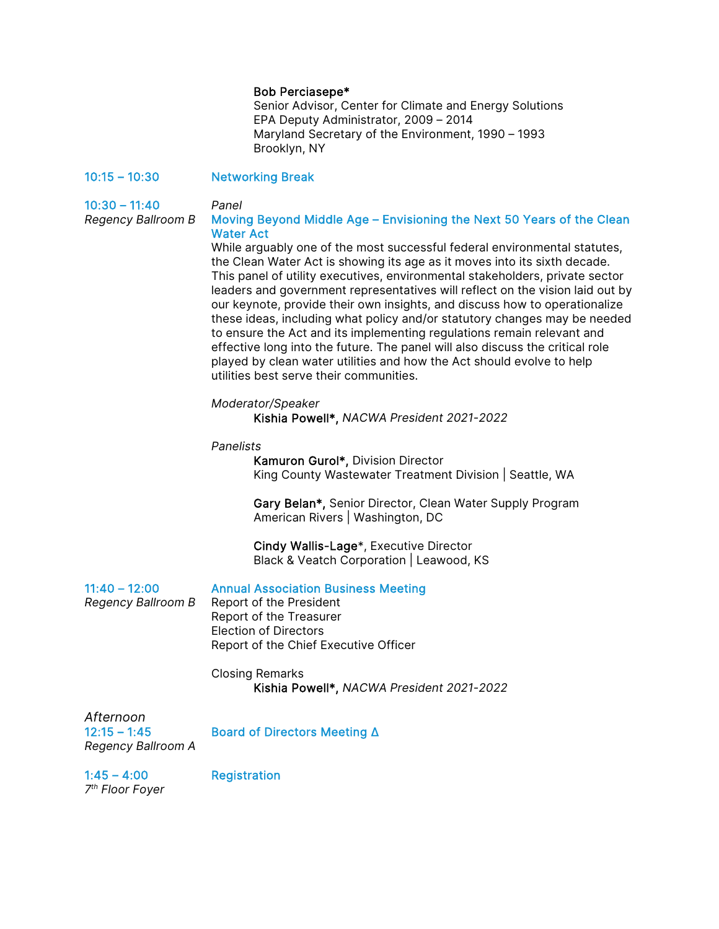#### Bob Perciasepe\*

 Senior Advisor, Center for Climate and Energy Solutions EPA Deputy Administrator, 2009 – 2014 Maryland Secretary of the Environment, 1990 – 1993 Brooklyn, NY

#### 10:15 – 10:30 Networking Break

10:30 – 11:40 *Panel*

### *Regency Ballroom B* Moving Beyond Middle Age – Envisioning the Next 50 Years of the Clean Water Act

While arguably one of the most successful federal environmental statutes, the Clean Water Act is showing its age as it moves into its sixth decade. This panel of utility executives, environmental stakeholders, private sector leaders and government representatives will reflect on the vision laid out by our keynote, provide their own insights, and discuss how to operationalize these ideas, including what policy and/or statutory changes may be needed to ensure the Act and its implementing regulations remain relevant and effective long into the future. The panel will also discuss the critical role played by clean water utilities and how the Act should evolve to help utilities best serve their communities.

#### *Moderator/Speaker*

Kishia Powell\*, *NACWA President 2021-2022*

*Panelists* 

Kamuron Gurol\*, Division Director King County Wastewater Treatment Division | Seattle, WA

Gary Belan\*, Senior Director, Clean Water Supply Program American Rivers | Washington, DC

Cindy Wallis-Lage\*, Executive Director Black & Veatch Corporation | Leawood, KS

#### 11:40 – 12:00 Annual Association Business Meeting

*Regency Ballroom B* Report of the President Report of the Treasurer Election of Directors Report of the Chief Executive Officer

> Closing Remarks Kishia Powell\*, *NACWA President 2021-2022*

*Afternoon Regency Ballroom A* 

12:15 – 1:45 Board of Directors Meeting Δ

1:45 – 4:00 Registration *7th Floor Foyer*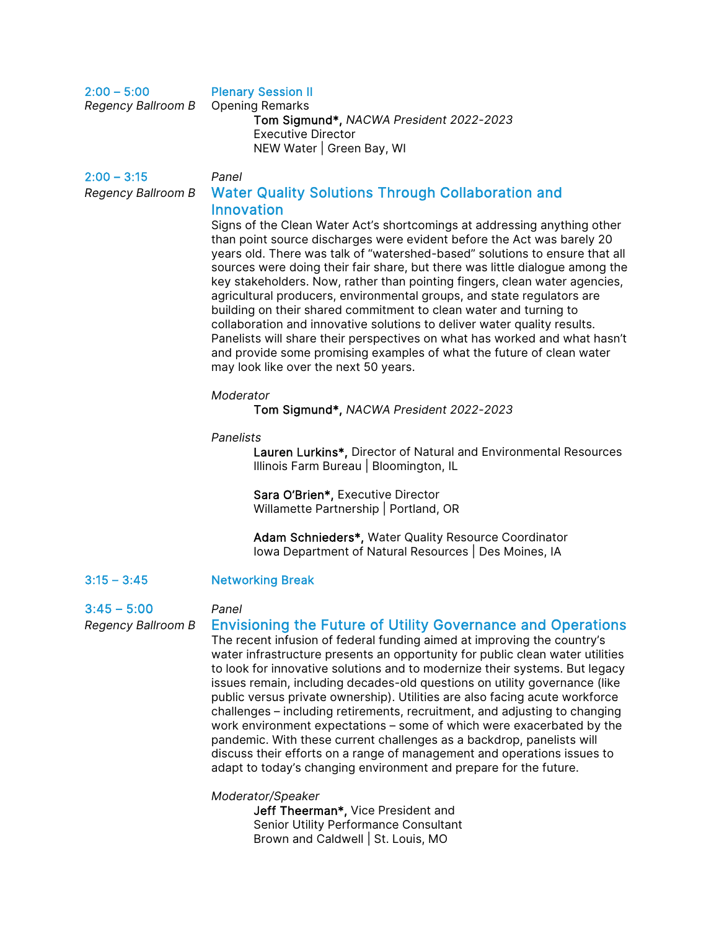# 2:00 – 5:00 Plenary Session II

| Regency Ballroom B Opening Remarks |                                         |
|------------------------------------|-----------------------------------------|
|                                    | Tom Sigmund*, NACWA President 2022-2023 |
|                                    | Executive Director                      |
|                                    | NEW Water   Green Bay, WI               |

# 2:00 – 3:15 *Panel Regency Ballroom B* Water Quality Solutions Through Collaboration and **Innovation**

Signs of the Clean Water Act's shortcomings at addressing anything other than point source discharges were evident before the Act was barely 20 years old. There was talk of "watershed-based" solutions to ensure that all sources were doing their fair share, but there was little dialogue among the key stakeholders. Now, rather than pointing fingers, clean water agencies, agricultural producers, environmental groups, and state regulators are building on their shared commitment to clean water and turning to collaboration and innovative solutions to deliver water quality results. Panelists will share their perspectives on what has worked and what hasn't and provide some promising examples of what the future of clean water may look like over the next 50 years.

#### *Moderator*

Tom Sigmund\*, *NACWA President 2022-2023* 

#### *Panelists*

Lauren Lurkins\*, Director of Natural and Environmental Resources Illinois Farm Bureau | Bloomington, IL

Sara O'Brien\*, Executive Director Willamette Partnership | Portland, OR

Adam Schnieders\*, Water Quality Resource Coordinator Iowa Department of Natural Resources | Des Moines, IA

## 3:15 – 3:45 Networking Break

#### 3:45 – 5:00 *Panel*

# *Regency Ballroom B* Envisioning the Future of Utility Governance and Operations

The recent infusion of federal funding aimed at improving the country's water infrastructure presents an opportunity for public clean water utilities to look for innovative solutions and to modernize their systems. But legacy issues remain, including decades-old questions on utility governance (like public versus private ownership). Utilities are also facing acute workforce challenges – including retirements, recruitment, and adjusting to changing work environment expectations – some of which were exacerbated by the pandemic. With these current challenges as a backdrop, panelists will discuss their efforts on a range of management and operations issues to adapt to today's changing environment and prepare for the future.

*Moderator/Speaker* 

Jeff Theerman\*, Vice President and Senior Utility Performance Consultant Brown and Caldwell | St. Louis, MO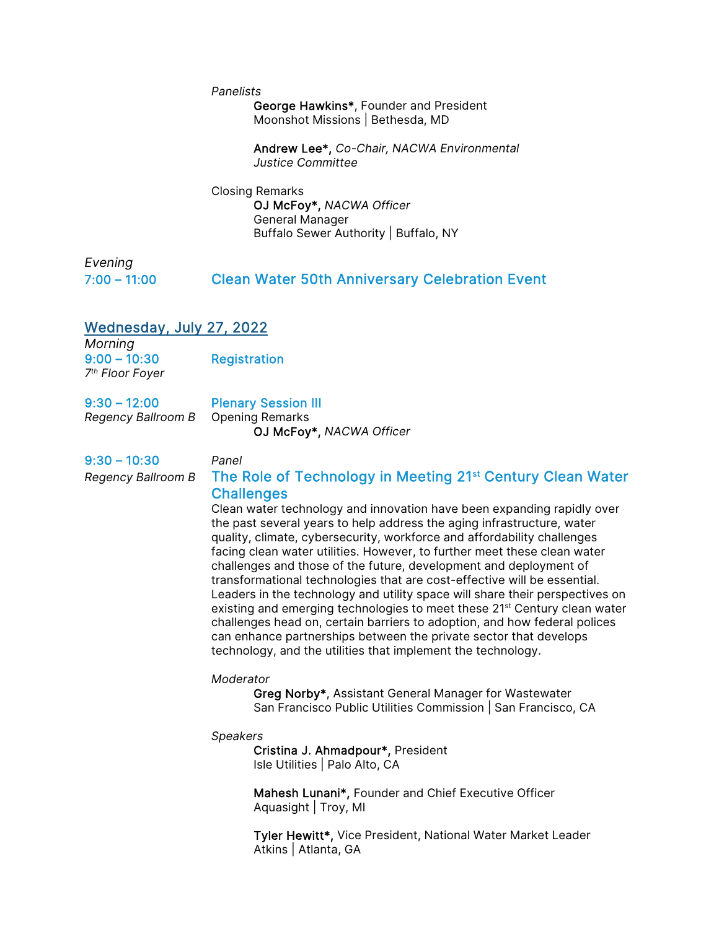#### *Panelists*

George Hawkins\*, Founder and President Moonshot Missions | Bethesda, MD

Andrew Lee\*, *Co-Chair, NACWA Environmental Justice Committee* 

Closing Remarks

OJ McFoy\*, *NACWA Officer*  General Manager Buffalo Sewer Authority | Buffalo, NY

*Evening*

# 7:00 – 11:00 Clean Water 50th Anniversary Celebration Event

# Wednesday, July 27, 2022

*Morning* 9:00 – 10:30 Registration *7th Floor Foyer* 

9:30 – 12:00 Plenary Session III *Regency Ballroom B* Opening Remarks

OJ McFoy\*, *NACWA Officer*

9:30 – 10:30 *Panel*

# *Regency Ballroom B* The Role of Technology in Meeting 21st Century Clean Water **Challenges**

Clean water technology and innovation have been expanding rapidly over the past several years to help address the aging infrastructure, water quality, climate, cybersecurity, workforce and affordability challenges facing clean water utilities. However, to further meet these clean water challenges and those of the future, development and deployment of transformational technologies that are cost-effective will be essential. Leaders in the technology and utility space will share their perspectives on existing and emerging technologies to meet these 21<sup>st</sup> Century clean water challenges head on, certain barriers to adoption, and how federal polices can enhance partnerships between the private sector that develops technology, and the utilities that implement the technology.

#### *Moderator*

Greg Norby\*, Assistant General Manager for Wastewater San Francisco Public Utilities Commission | San Francisco, CA

*Speakers* 

Cristina J. Ahmadpour\*, President Isle Utilities | Palo Alto, CA

Mahesh Lunani\*, Founder and Chief Executive Officer Aquasight | Troy, MI

Tyler Hewitt\*, Vice President, National Water Market Leader Atkins | Atlanta, GA